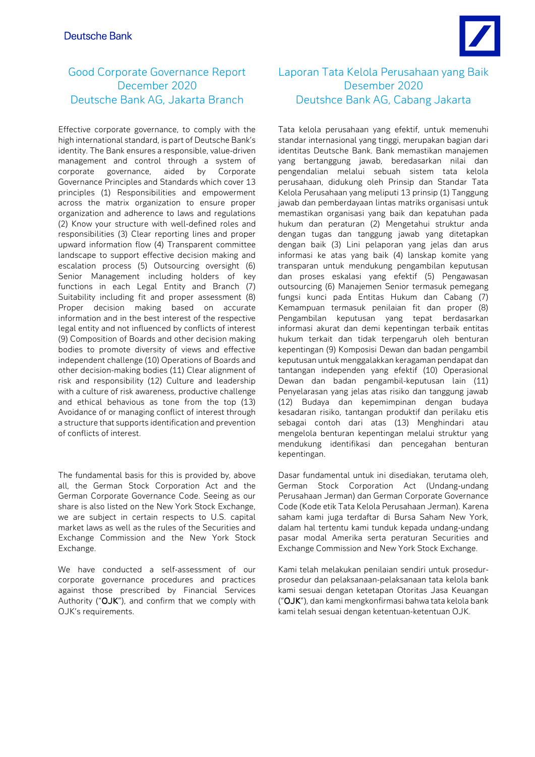# Good Corporate Governance Report December 2020 Deutsche Bank AG, Jakarta Branch

Effective corporate governance, to comply with the high international standard, is part of Deutsche Bank's identity. The Bank ensures a responsible, value-driven management and control through a system of corporate governance, aided by Corporate Governance Principles and Standards which cover 13 principles (1) Responsibilities and empowerment across the matrix organization to ensure proper organization and adherence to laws and regulations (2) Know your structure with well-defined roles and responsibilities (3) Clear reporting lines and proper upward information flow (4) Transparent committee landscape to support effective decision making and escalation process (5) Outsourcing oversight (6) Senior Management including holders of key functions in each Legal Entity and Branch (7) Suitability including fit and proper assessment (8) Proper decision making based on accurate information and in the best interest of the respective legal entity and not influenced by conflicts of interest (9) Composition of Boards and other decision making bodies to promote diversity of views and effective independent challenge (10) Operations of Boards and other decision-making bodies (11) Clear alignment of risk and responsibility (12) Culture and leadership with a culture of risk awareness, productive challenge and ethical behavious as tone from the top (13) Avoidance of or managing conflict of interest through a structure that supports identification and prevention of conflicts of interest.

The fundamental basis for this is provided by, above all, the German Stock Corporation Act and the German Corporate Governance Code. Seeing as our share is also listed on the New York Stock Exchange, we are subject in certain respects to U.S. capital market laws as well as the rules of the Securities and Exchange Commission and the New York Stock Exchange.

We have conducted a self-assessment of our corporate governance procedures and practices against those prescribed by Financial Services Authority ("OJK"), and confirm that we comply with OJK's requirements.

# Laporan Tata Kelola Perusahaan yang Baik Desember 2020 Deutshce Bank AG, Cabang Jakarta

Tata kelola perusahaan yang efektif, untuk memenuhi standar internasional yang tinggi, merupakan bagian dari identitas Deutsche Bank. Bank memastikan manajemen yang bertanggung jawab, beredasarkan nilai dan pengendalian melalui sebuah sistem tata kelola perusahaan, didukung oleh Prinsip dan Standar Tata Kelola Perusahaan yang meliputi 13 prinsip (1) Tanggung jawab dan pemberdayaan lintas matriks organisasi untuk memastikan organisasi yang baik dan kepatuhan pada hukum dan peraturan (2) Mengetahui struktur anda dengan tugas dan tanggung jawab yang ditetapkan dengan baik (3) Lini pelaporan yang jelas dan arus informasi ke atas yang baik (4) lanskap komite yang transparan untuk mendukung pengambilan keputusan dan proses eskalasi yang efektif (5) Pengawasan outsourcing (6) Manajemen Senior termasuk pemegang fungsi kunci pada Entitas Hukum dan Cabang (7) Kemampuan termasuk penilaian fit dan proper (8) Pengambilan keputusan yang tepat berdasarkan informasi akurat dan demi kepentingan terbaik entitas hukum terkait dan tidak terpengaruh oleh benturan kepentingan (9) Komposisi Dewan dan badan pengambil keputusan untuk menggalakkan keragaman pendapat dan tantangan independen yang efektif (10) Operasional Dewan dan badan pengambil-keputusan lain (11) Penyelarasan yang jelas atas risiko dan tanggung jawab (12) Budaya dan kepemimpinan dengan budaya kesadaran risiko, tantangan produktif dan perilaku etis sebagai contoh dari atas (13) Menghindari atau mengelola benturan kepentingan melalui struktur yang mendukung identifikasi dan pencegahan benturan kepentingan.

Dasar fundamental untuk ini disediakan, terutama oleh, German Stock Corporation Act (Undang-undang Perusahaan Jerman) dan German Corporate Governance Code (Kode etik Tata Kelola Perusahaan Jerman). Karena saham kami juga terdaftar di Bursa Saham New York, dalam hal tertentu kami tunduk kepada undang-undang pasar modal Amerika serta peraturan Securities and Exchange Commission and New York Stock Exchange.

Kami telah melakukan penilaian sendiri untuk prosedurprosedur dan pelaksanaan-pelaksanaan tata kelola bank kami sesuai dengan ketetapan Otoritas Jasa Keuangan ("OJK"), dan kami mengkonfirmasi bahwa tata kelola bank kami telah sesuai dengan ketentuan-ketentuan OJK.

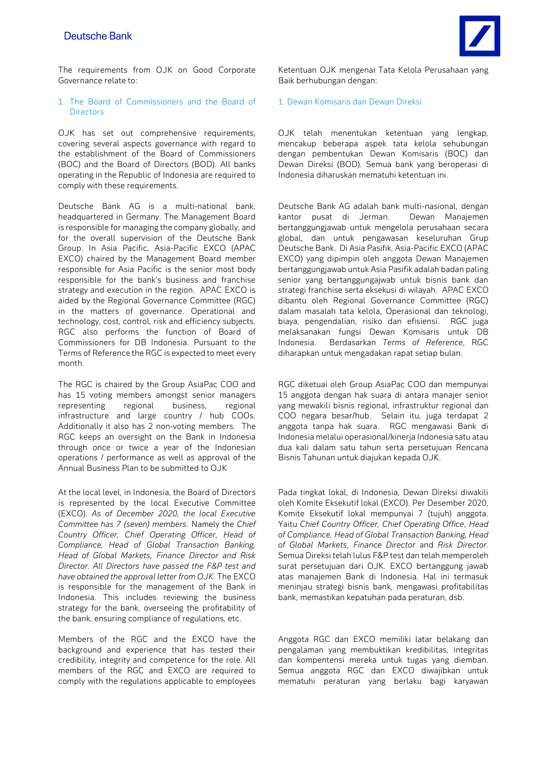# **Deutsche Bank**

The requirements from OJK on Good Corporate Governance relate to:

# 1. The Board of Commissioners and the Board of **Directors**

OJK has set out comprehensive requirements, covering several aspects governance with regard to the establishment of the Board of Commissioners (BOC) and the Board of Directors (BOD). All banks operating in the Republic of Indonesia are required to comply with these requirements.

Deutsche Bank AG is a multi-national bank, headquartered in Germany. The Management Board is responsible for managing the company globally, and for the overall supervision of the Deutsche Bank Group. In Asia Pacific, Asia-Pacific EXCO (APAC EXCO) chaired by the Management Board member responsible for Asia Pacific is the senior most body responsible for the bank's business and franchise strategy and execution in the region. APAC EXCO is aided by the Regional Governance Committee (RGC) in the matters of governance. Operational and technology, cost, control, risk and efficiency subjects. RGC also performs the function of Board of Commissioners for DB Indonesia. Pursuant to the Terms of Reference the RGC is expected to meet every month.

The RGC is chaired by the Group AsiaPac COO and has 15 voting members amongst senior managers representing regional business, regional infrastructure and large country / hub COOs. Additionally it also has 2 non-voting members. The RGC keeps an oversight on the Bank in Indonesia through once or twice a year of the Indonesian operations / performance as well as approval of the Annual Business Plan to be submitted to OJK

At the local level, in Indonesia, the Board of Directors is represented by the local Executive Committee (EXCO). *As of December 2020, the local Executive Committee has 7 (seven) members.* Namely the *Chief Country Officer, Chief Operating Officer, Head of Compliance, Head of Global Transaction Banking, Head of Global Markets, Finance Director and Risk Director. All Directors have passed the F&P test and have obtained the approval letter from OJK.* The EXCO is responsible for the management of the Bank in Indonesia. This includes reviewing the business strategy for the bank, overseeing the profitability of the bank, ensuring compliance of regulations, etc.

Members of the RGC and the EXCO have the background and experience that has tested their credibility, integrity and competence for the role. All members of the RGC and EXCO are required to comply with the regulations applicable to employees

Ketentuan OJK mengenai Tata Kelola Perusahaan yang Baik berhubungan dengan:

### 1. Dewan Komisaris dan Dewan Direksi

OJK telah menentukan ketentuan yang lengkap, mencakup beberapa aspek tata kelola sehubungan dengan pembentukan Dewan Komisaris (BOC) dan Dewan Direksi (BOD). Semua bank yang beroperasi di Indonesia diharuskan mematuhi ketentuan ini.

Deutsche Bank AG adalah bank multi-nasional, dengan kantor pusat di Jerman. Dewan Manajemen bertanggungjawab untuk mengelola perusahaan secara global, dan untuk pengawasan keseluruhan Grup Deutsche Bank. Di Asia Pasifik, Asia-Pacific EXCO (APAC EXCO) yang dipimpin oleh anggota Dewan Manajemen bertanggungjawab untuk Asia Pasifik adalah badan paling senior yang bertanggungajwab untuk bisnis bank dan strategi franchise serta eksekusi di wilayah. APAC EXCO dibantu oleh Regional Governance Committee (RGC) dalam masalah tata kelola, Operasional dan teknologi, biaya, pengendalian, risiko dan efisiensi. RGC juga melaksanakan fungsi Dewan Komisaris untuk DB Indonesia. Berdasarkan *Terms of Reference*, RGC diharapkan untuk mengadakan rapat setiap bulan.

RGC diketuai oleh Group AsiaPac COO dan mempunyai 15 anggota dengan hak suara di antara manajer senior yang mewakili bisnis regional, infrastruktur regional dan COO negara besar/hub. Selain itu, juga terdapat 2 anggota tanpa hak suara. RGC mengawasi Bank di Indonesia melalui operasional/kinerja Indonesia satu atau dua kali dalam satu tahun serta persetujuan Rencana Bisnis Tahunan untuk diajukan kepada OJK.

Pada tingkat lokal, di Indonesia, Dewan Direksi diwakili oleh Komite Eksekutif lokal (EXCO). Per Desember 2020, Komite Eksekutif lokal mempunyai 7 (tujuh) anggota. Yaitu *Chief Country Officer, Chief Operating Office*, *Head of Compliance, Head of Global Transaction Banking, Head of Global Markets*, *Finance Director* and *Risk Director*. Semua Direksi telah lulus F&P test dan telah memperoleh surat persetujuan dari OJK. EXCO bertanggung jawab atas manajemen Bank di Indonesia. Hal ini termasuk meninjau strategi bisnis bank, mengawasi profitabilitas bank, memastikan kepatuhan pada peraturan, dsb.

Anggota RGC dan EXCO memiliki latar belakang dan pengalaman yang membuktikan kredibilitas, integritas dan kompentensi mereka untuk tugas yang diemban. Semua anggota RGC dan EXCO diwajibkan untuk mematuhi peraturan yang berlaku bagi karyawan

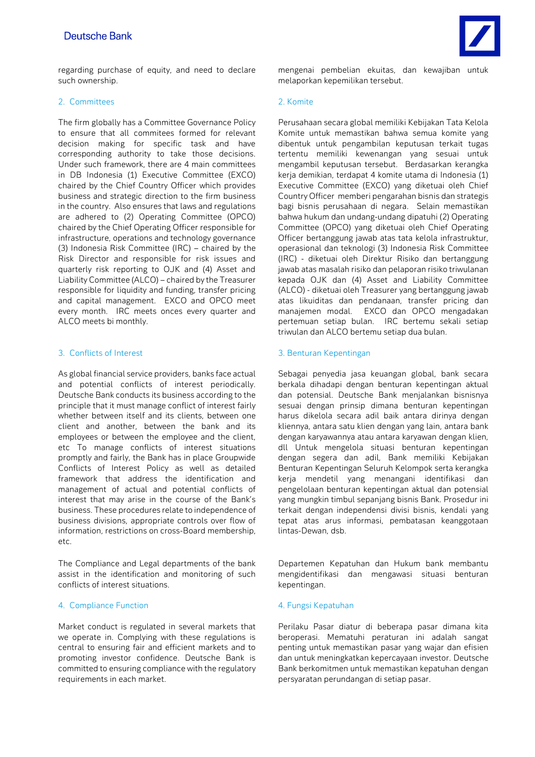# **Deutsche Bank**



regarding purchase of equity, and need to declare such ownership.

# 2. Committees 2. Komite

The firm globally has a Committee Governance Policy to ensure that all commitees formed for relevant decision making for specific task and have corresponding authority to take those decisions. Under such framework, there are 4 main committees in DB Indonesia (1) Executive Committee (EXCO) chaired by the Chief Country Officer which provides business and strategic direction to the firm business in the country. Also ensures that laws and regulations are adhered to (2) Operating Committee (OPCO) chaired by the Chief Operating Officer responsible for infrastructure, operations and technology governance (3) Indonesia Risk Committee (IRC) – chaired by the Risk Director and responsible for risk issues and quarterly risk reporting to OJK and (4) Asset and Liability Committee (ALCO) – chaired by the Treasurer responsible for liquidity and funding, transfer pricing and capital management. EXCO and OPCO meet every month. IRC meets onces every quarter and ALCO meets bi monthly.

As global financial service providers, banks face actual and potential conflicts of interest periodically. Deutsche Bank conducts its business according to the principle that it must manage conflict of interest fairly whether between itself and its clients, between one client and another, between the bank and its employees or between the employee and the client, etc To manage conflicts of interest situations promptly and fairly, the Bank has in place Groupwide Conflicts of Interest Policy as well as detailed framework that address the identification and management of actual and potential conflicts of interest that may arise in the course of the Bank's business. These procedures relate to independence of business divisions, appropriate controls over flow of information, restrictions on cross-Board membership, etc.

The Compliance and Legal departments of the bank assist in the identification and monitoring of such conflicts of interest situations.

# 4. Compliance Function **4. Fungsi Kepatuhan**

Market conduct is regulated in several markets that we operate in. Complying with these regulations is central to ensuring fair and efficient markets and to promoting investor confidence. Deutsche Bank is committed to ensuring compliance with the regulatory requirements in each market.

mengenai pembelian ekuitas, dan kewajiban untuk melaporkan kepemilikan tersebut.

Perusahaan secara global memiliki Kebijakan Tata Kelola Komite untuk memastikan bahwa semua komite yang dibentuk untuk pengambilan keputusan terkait tugas tertentu memiliki kewenangan yang sesuai untuk mengambil keputusan tersebut. Berdasarkan kerangka kerja demikian, terdapat 4 komite utama di Indonesia (1) Executive Committee (EXCO) yang diketuai oleh Chief Country Officer memberi pengarahan bisnis dan strategis bagi bisnis perusahaan di negara. Selain memastikan bahwa hukum dan undang-undang dipatuhi (2) Operating Committee (OPCO) yang diketuai oleh Chief Operating Officer bertanggung jawab atas tata kelola infrastruktur, operasional dan teknologi (3) Indonesia Risk Committee (IRC) - diketuai oleh Direktur Risiko dan bertanggung jawab atas masalah risiko dan pelaporan risiko triwulanan kepada OJK dan (4) Asset and Liability Committee (ALCO) - diketuai oleh Treasurer yang bertanggung jawab atas likuiditas dan pendanaan, transfer pricing dan manajemen modal. EXCO dan OPCO mengadakan pertemuan setiap bulan. IRC bertemu sekali setiap triwulan dan ALCO bertemu setiap dua bulan.

### 3. Conflicts of Interest 3. Benturan Kepentingan

Sebagai penyedia jasa keuangan global, bank secara berkala dihadapi dengan benturan kepentingan aktual dan potensial. Deutsche Bank menjalankan bisnisnya sesuai dengan prinsip dimana benturan kepentingan harus dikelola secara adil baik antara dirinya dengan kliennya, antara satu klien dengan yang lain, antara bank dengan karyawannya atau antara karyawan dengan klien, dll Untuk mengelola situasi benturan kepentingan dengan segera dan adil, Bank memiliki Kebijakan Benturan Kepentingan Seluruh Kelompok serta kerangka kerja mendetil yang menangani identifikasi dan pengelolaan benturan kepentingan aktual dan potensial yang mungkin timbul sepanjang bisnis Bank. Prosedur ini terkait dengan independensi divisi bisnis, kendali yang tepat atas arus informasi, pembatasan keanggotaan lintas-Dewan, dsb.

Departemen Kepatuhan dan Hukum bank membantu mengidentifikasi dan mengawasi situasi benturan kepentingan.

Perilaku Pasar diatur di beberapa pasar dimana kita beroperasi. Mematuhi peraturan ini adalah sangat penting untuk memastikan pasar yang wajar dan efisien dan untuk meningkatkan kepercayaan investor. Deutsche Bank berkomitmen untuk memastikan kepatuhan dengan persyaratan perundangan di setiap pasar.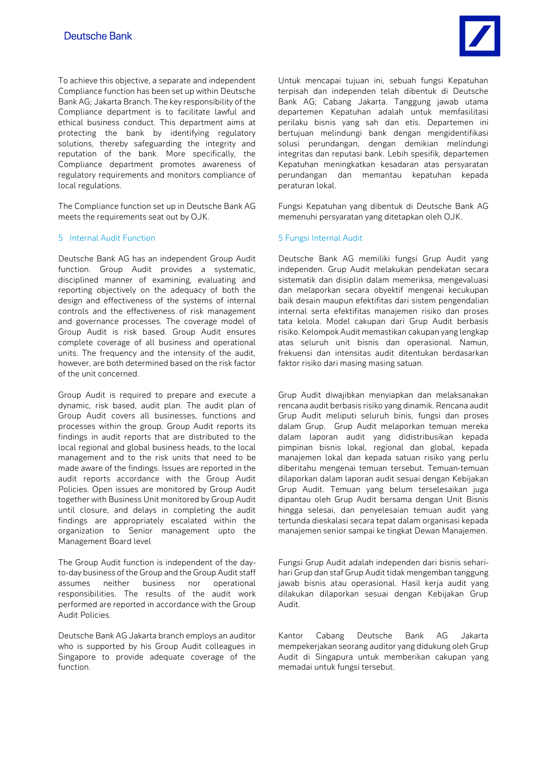To achieve this objective, a separate and independent Compliance function has been set up within Deutsche Bank AG; Jakarta Branch. The key responsibility of the Compliance department is to facilitate lawful and ethical business conduct. This department aims at protecting the bank by identifying regulatory solutions, thereby safeguarding the integrity and reputation of the bank. More specifically, the Compliance department promotes awareness of regulatory requirements and monitors compliance of local regulations.

The Compliance function set up in Deutsche Bank AG meets the requirements seat out by OJK.

# 5 Internal Audit Function 5 Fungsi Internal Audit

Deutsche Bank AG has an independent Group Audit function. Group Audit provides a systematic, disciplined manner of examining, evaluating and reporting objectively on the adequacy of both the design and effectiveness of the systems of internal controls and the effectiveness of risk management and governance processes. The coverage model of Group Audit is risk based. Group Audit ensures complete coverage of all business and operational units. The frequency and the intensity of the audit, however, are both determined based on the risk factor of the unit concerned.

Group Audit is required to prepare and execute a dynamic, risk based, audit plan. The audit plan of Group Audit covers all businesses, functions and processes within the group. Group Audit reports its findings in audit reports that are distributed to the local regional and global business heads, to the local management and to the risk units that need to be made aware of the findings. Issues are reported in the audit reports accordance with the Group Audit Policies. Open issues are monitored by Group Audit together with Business Unit monitored by Group Audit until closure, and delays in completing the audit findings are appropriately escalated within the organization to Senior management upto the Management Board level

The Group Audit function is independent of the dayto-day business of the Group and the Group Audit staff assumes neither business nor operational responsibilities. The results of the audit work performed are reported in accordance with the Group Audit Policies.

Deutsche Bank AG Jakarta branch employs an auditor who is supported by his Group Audit colleagues in Singapore to provide adequate coverage of the function.

Untuk mencapai tujuan ini, sebuah fungsi Kepatuhan terpisah dan independen telah dibentuk di Deutsche Bank AG; Cabang Jakarta. Tanggung jawab utama departemen Kepatuhan adalah untuk memfasilitasi perilaku bisnis yang sah dan etis. Departemen ini bertujuan melindungi bank dengan mengidentifikasi solusi perundangan, dengan demikian melindungi integritas dan reputasi bank. Lebih spesifik, departemen Kepatuhan meningkatkan kesadaran atas persyaratan perundangan dan memantau kepatuhan kepada peraturan lokal.

Fungsi Kepatuhan yang dibentuk di Deutsche Bank AG memenuhi persyaratan yang ditetapkan oleh OJK.

Deutsche Bank AG memiliki fungsi Grup Audit yang independen. Grup Audit melakukan pendekatan secara sistematik dan disiplin dalam memeriksa, mengevaluasi dan melaporkan secara obyektif mengenai kecukupan baik desain maupun efektifitas dari sistem pengendalian internal serta efektifitas manajemen risiko dan proses tata kelola. Model cakupan dari Grup Audit berbasis risiko. Kelompok Audit memastikan cakupan yang lengkap atas seluruh unit bisnis dan operasional. Namun, frekuensi dan intensitas audit ditentukan berdasarkan faktor risiko dari masing masing satuan.

Grup Audit diwajibkan menyiapkan dan melaksanakan rencana audit berbasis risiko yang dinamik. Rencana audit Grup Audit meliputi seluruh binis, fungsi dan proses dalam Grup. Grup Audit melaporkan temuan mereka dalam laporan audit yang didistribusikan kepada pimpinan bisnis lokal, regional dan global, kepada manajemen lokal dan kepada satuan risiko yang perlu diberitahu mengenai temuan tersebut. Temuan-temuan dilaporkan dalam laporan audit sesuai dengan Kebijakan Grup Audit. Temuan yang belum terselesaikan juga dipantau oleh Grup Audit bersama dengan Unit Bisnis hingga selesai, dan penyelesaian temuan audit yang tertunda dieskalasi secara tepat dalam organisasi kepada manajemen senior sampai ke tingkat Dewan Manajemen.

Fungsi Grup Audit adalah independen dari bisnis seharihari Grup dan staf Grup Audit tidak mengemban tanggung jawab bisnis atau operasional. Hasil kerja audit yang dilakukan dilaporkan sesuai dengan Kebijakan Grup Audit.

Kantor Cabang Deutsche Bank AG Jakarta mempekerjakan seorang auditor yang didukung oleh Grup Audit di Singapura untuk memberikan cakupan yang memadai untuk fungsi tersebut.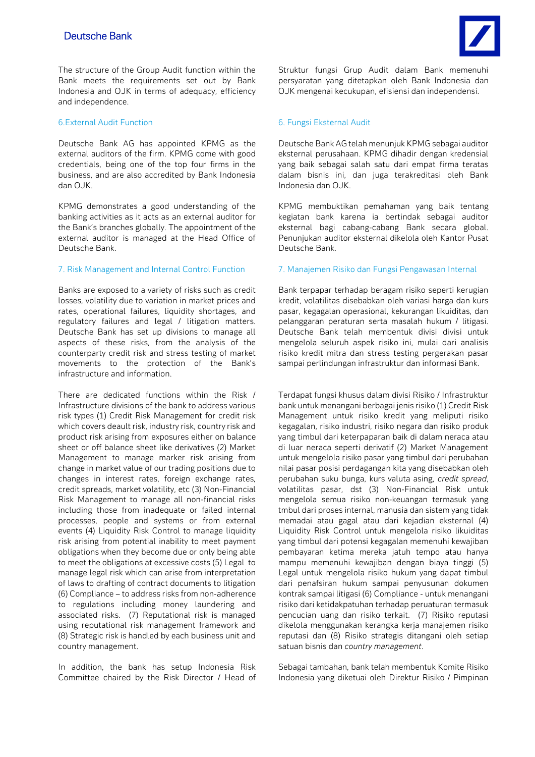The structure of the Group Audit function within the Bank meets the requirements set out by Bank Indonesia and OJK in terms of adequacy, efficiency and independence.

## 6.External Audit Function 6. Fungsi Eksternal Audit

Deutsche Bank AG has appointed KPMG as the external auditors of the firm. KPMG come with good credentials, being one of the top four firms in the business, and are also accredited by Bank Indonesia  $d$ an  $\bigcap$  IK

KPMG demonstrates a good understanding of the banking activities as it acts as an external auditor for the Bank's branches globally. The appointment of the external auditor is managed at the Head Office of Deutsche Bank.

Banks are exposed to a variety of risks such as credit losses, volatility due to variation in market prices and rates, operational failures, liquidity shortages, and regulatory failures and legal / litigation matters. Deutsche Bank has set up divisions to manage all aspects of these risks, from the analysis of the counterparty credit risk and stress testing of market movements to the protection of the Bank's infrastructure and information.

There are dedicated functions within the Risk / Infrastructure divisions of the bank to address various risk types (1) Credit Risk Management for credit risk which covers deault risk, industry risk, country risk and product risk arising from exposures either on balance sheet or off balance sheet like derivatives (2) Market Management to manage marker risk arising from change in market value of our trading positions due to changes in interest rates, foreign exchange rates, credit spreads, market volatility, etc (3) Non-Financial Risk Management to manage all non-financial risks including those from inadequate or failed internal processes, people and systems or from external events (4) Liquidity Risk Control to manage liquidity risk arising from potential inability to meet payment obligations when they become due or only being able to meet the obligations at excessive costs (5) Legal to manage legal risk which can arise from interpretation of laws to drafting of contract documents to litigation (6) Compliance – to address risks from non-adherence to regulations including money laundering and associated risks. (7) Reputational risk is managed using reputational risk management framework and (8) Strategic risk is handled by each business unit and country management.

In addition, the bank has setup Indonesia Risk Committee chaired by the Risk Director / Head of Struktur fungsi Grup Audit dalam Bank memenuhi persyaratan yang ditetapkan oleh Bank Indonesia dan OJK mengenai kecukupan, efisiensi dan independensi.

Deutsche Bank AG telah menunjuk KPMG sebagai auditor eksternal perusahaan. KPMG dihadir dengan kredensial yang baik sebagai salah satu dari empat firma teratas dalam bisnis ini, dan juga terakreditasi oleh Bank Indonesia dan  $\Omega$  IK

KPMG membuktikan pemahaman yang baik tentang kegiatan bank karena ia bertindak sebagai auditor eksternal bagi cabang-cabang Bank secara global. Penunjukan auditor eksternal dikelola oleh Kantor Pusat Deutsche Bank.

### 7. Risk Management and Internal Control Function 7. Manajemen Risiko dan Fungsi Pengawasan Internal

Bank terpapar terhadap beragam risiko seperti kerugian kredit, volatilitas disebabkan oleh variasi harga dan kurs pasar, kegagalan operasional, kekurangan likuiditas, dan pelanggaran peraturan serta masalah hukum / litigasi. Deutsche Bank telah membentuk divisi divisi untuk mengelola seluruh aspek risiko ini, mulai dari analisis risiko kredit mitra dan stress testing pergerakan pasar sampai perlindungan infrastruktur dan informasi Bank.

Terdapat fungsi khusus dalam divisi Risiko / Infrastruktur bank untuk menangani berbagai jenis risiko (1) Credit Risk Management untuk risiko kredit yang meliputi risiko kegagalan, risiko industri, risiko negara dan risiko produk yang timbul dari keterpaparan baik di dalam neraca atau di luar neraca seperti derivatif (2) Market Management untuk mengelola risiko pasar yang timbul dari perubahan nilai pasar posisi perdagangan kita yang disebabkan oleh perubahan suku bunga, kurs valuta asing, *credit spread*, volatilitas pasar, dst (3) Non-Financial Risk untuk mengelola semua risiko non-keuangan termasuk yang tmbul dari proses internal, manusia dan sistem yang tidak memadai atau gagal atau dari kejadian eksternal (4) Liquidity Risk Control untuk mengelola risiko likuiditas yang timbul dari potensi kegagalan memenuhi kewajiban pembayaran ketima mereka jatuh tempo atau hanya mampu memenuhi kewajiban dengan biaya tinggi (5) Legal untuk mengelola risiko hukum yang dapat timbul dari penafsiran hukum sampai penyusunan dokumen kontrak sampai litigasi (6) Compliance - untuk menangani risiko dari ketidakpatuhan terhadap peruaturan termasuk pencucian uang dan risiko terkait. (7) Risiko reputasi dikelola menggunakan kerangka kerja manajemen risiko reputasi dan (8) Risiko strategis ditangani oleh setiap satuan bisnis dan *country management*.

Sebagai tambahan, bank telah membentuk Komite Risiko Indonesia yang diketuai oleh Direktur Risiko / Pimpinan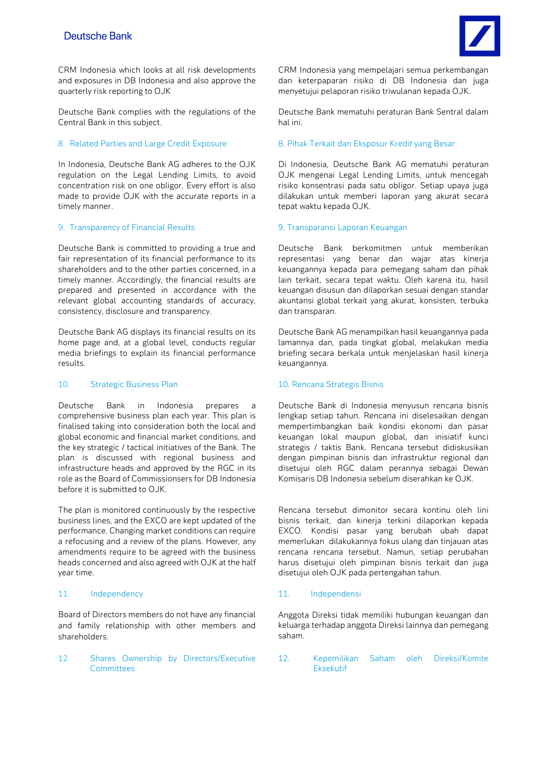CRM Indonesia which looks at all risk developments and exposures in DB Indonesia and also approve the quarterly risk reporting to OJK

Deutsche Bank complies with the regulations of the Central Bank in this subject.

In Indonesia, Deutsche Bank AG adheres to the OJK regulation on the Legal Lending Limits, to avoid concentration risk on one obligor. Every effort is also made to provide OJK with the accurate reports in a timely manner.

### 9. Transparency of Financial Results 9. Transparansi Laporan Keuangan

Deutsche Bank is committed to providing a true and fair representation of its financial performance to its shareholders and to the other parties concerned, in a timely manner. Accordingly, the financial results are prepared and presented in accordance with the relevant global accounting standards of accuracy, consistency, disclosure and transparency.

Deutsche Bank AG displays its financial results on its home page and, at a global level, conducts regular media briefings to explain its financial performance results.

### 10. Strategic Business Plan 10. Rencana Strategis Bisnis

Deutsche Bank in Indonesia prepares a comprehensive business plan each year. This plan is finalised taking into consideration both the local and global economic and financial market conditions, and the key strategic / tactical initiatives of the Bank. The plan is discussed with regional business and infrastructure heads and approved by the RGC in its role as the Board of Commissionsers for DB Indonesia before it is submitted to OJK.

The plan is monitored continuously by the respective business lines, and the EXCO are kept updated of the performance. Changing market conditions can require a refocusing and a review of the plans. However, any amendments require to be agreed with the business heads concerned and also agreed with OJK at the half year time.

### 11. Independency 11. Independensi

Board of Directors members do not have any financial and family relationship with other members and shareholders.

12. Shares Ownership by Directors/Executive **Committees** 

Deutsche Bank mematuhi peraturan Bank Sentral dalam hal ini.

# 8. Related Parties and Large Credit Exposure 8. Pihak Terkait dan Eksposur Kredit yang Besar

Di Indonesia, Deutsche Bank AG mematuhi peraturan OJK mengenai Legal Lending Limits, untuk mencegah risiko konsentrasi pada satu obligor. Setiap upaya juga dilakukan untuk memberi laporan yang akurat secara tepat waktu kepada OJK.

Deutsche Bank berkomitmen untuk memberikan representasi yang benar dan wajar atas kinerja keuangannya kepada para pemegang saham dan pihak lain terkait, secara tepat waktu. Oleh karena itu, hasil keuangan disusun dan dilaporkan sesuai dengan standar akuntansi global terkait yang akurat, konsisten, terbuka dan transparan.

Deutsche Bank AG menampilkan hasil keuangannya pada lamannya dan, pada tingkat global, melakukan media briefing secara berkala untuk menjelaskan hasil kinerja keuangannya.

Deutsche Bank di Indonesia menyusun rencana bisnis lengkap setiap tahun. Rencana ini diselesaikan dengan mempertimbangkan baik kondisi ekonomi dan pasar keuangan lokal maupun global, dan inisiatif kunci strategis / taktis Bank. Rencana tersebut didiskusikan dengan pimpinan bisnis dan infrastruktur regional dan disetujui oleh RGC dalam perannya sebagai Dewan Komisaris DB Indonesia sebelum diserahkan ke OJK.

Rencana tersebut dimonitor secara kontinu oleh lini bisnis terkait, dan kinerja terkini dilaporkan kepada EXCO. Kondisi pasar yang berubah ubah dapat memerlukan dilakukannya fokus ulang dan tinjauan atas rencana rencana tersebut. Namun, setiap perubahan harus disetujui oleh pimpinan bisnis terkait dan juga disetujui oleh OJK pada pertengahan tahun.

Anggota Direksi tidak memiliki hubungan keuangan dan keluarga terhadap anggota Direksi lainnya dan pemegang saham.

12. Kepemilikan Saham oleh Direksi/Komite Eksekutif